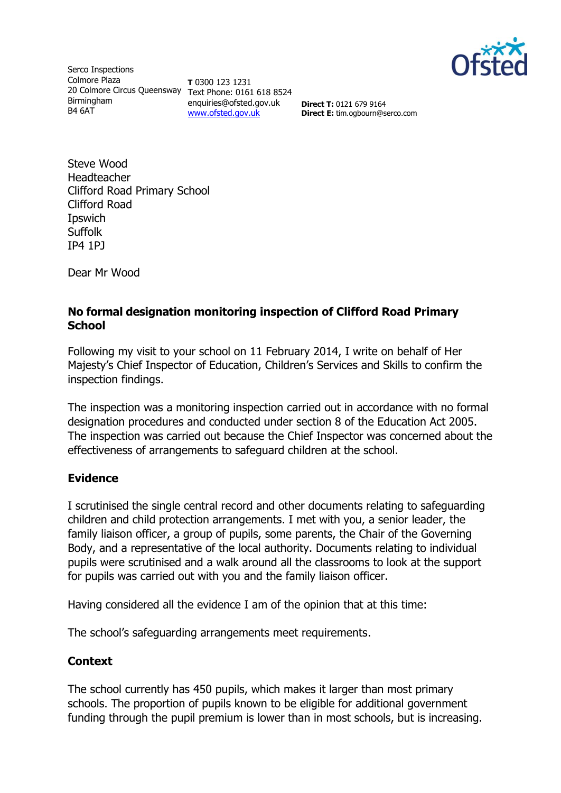

Serco Inspections Colmore Plaza 20 Colmore Circus Queensway Text Phone: 0161 618 8524 Birmingham B4 6AT

**T** 0300 123 1231 enquiries@ofsted.gov.uk [www.ofsted.gov.uk](http://www.ofsted.gov.uk/)

**Direct T:** 0121 679 9164 **Direct E:** tim.ogbourn@serco.com

Steve Wood Headteacher Clifford Road Primary School Clifford Road Ipswich Suffolk IP4 1PJ

Dear Mr Wood

### **No formal designation monitoring inspection of Clifford Road Primary School**

Following my visit to your school on 11 February 2014, I write on behalf of Her Majesty's Chief Inspector of Education, Children's Services and Skills to confirm the inspection findings.

The inspection was a monitoring inspection carried out in accordance with no formal designation procedures and conducted under section 8 of the Education Act 2005. The inspection was carried out because the Chief Inspector was concerned about the effectiveness of arrangements to safeguard children at the school.

#### **Evidence**

I scrutinised the single central record and other documents relating to safeguarding children and child protection arrangements. I met with you, a senior leader, the family liaison officer, a group of pupils, some parents, the Chair of the Governing Body, and a representative of the local authority. Documents relating to individual pupils were scrutinised and a walk around all the classrooms to look at the support for pupils was carried out with you and the family liaison officer.

Having considered all the evidence I am of the opinion that at this time:

The school's safeguarding arrangements meet requirements.

#### **Context**

The school currently has 450 pupils, which makes it larger than most primary schools. The proportion of pupils known to be eligible for additional government funding through the pupil premium is lower than in most schools, but is increasing.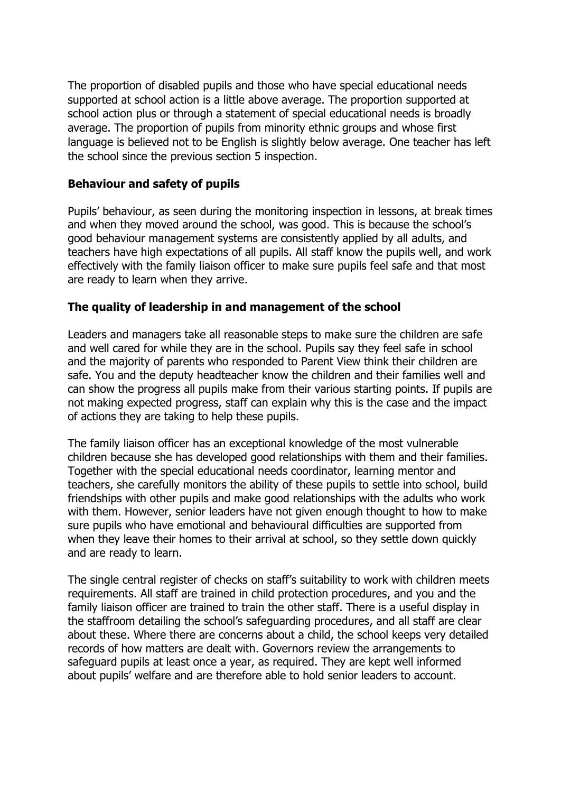The proportion of disabled pupils and those who have special educational needs supported at school action is a little above average. The proportion supported at school action plus or through a statement of special educational needs is broadly average. The proportion of pupils from minority ethnic groups and whose first language is believed not to be English is slightly below average. One teacher has left the school since the previous section 5 inspection.

# **Behaviour and safety of pupils**

Pupils' behaviour, as seen during the monitoring inspection in lessons, at break times and when they moved around the school, was good. This is because the school's good behaviour management systems are consistently applied by all adults, and teachers have high expectations of all pupils. All staff know the pupils well, and work effectively with the family liaison officer to make sure pupils feel safe and that most are ready to learn when they arrive.

# **The quality of leadership in and management of the school**

Leaders and managers take all reasonable steps to make sure the children are safe and well cared for while they are in the school. Pupils say they feel safe in school and the majority of parents who responded to Parent View think their children are safe. You and the deputy headteacher know the children and their families well and can show the progress all pupils make from their various starting points. If pupils are not making expected progress, staff can explain why this is the case and the impact of actions they are taking to help these pupils.

The family liaison officer has an exceptional knowledge of the most vulnerable children because she has developed good relationships with them and their families. Together with the special educational needs coordinator, learning mentor and teachers, she carefully monitors the ability of these pupils to settle into school, build friendships with other pupils and make good relationships with the adults who work with them. However, senior leaders have not given enough thought to how to make sure pupils who have emotional and behavioural difficulties are supported from when they leave their homes to their arrival at school, so they settle down quickly and are ready to learn.

The single central register of checks on staff's suitability to work with children meets requirements. All staff are trained in child protection procedures, and you and the family liaison officer are trained to train the other staff. There is a useful display in the staffroom detailing the school's safeguarding procedures, and all staff are clear about these. Where there are concerns about a child, the school keeps very detailed records of how matters are dealt with. Governors review the arrangements to safeguard pupils at least once a year, as required. They are kept well informed about pupils' welfare and are therefore able to hold senior leaders to account.